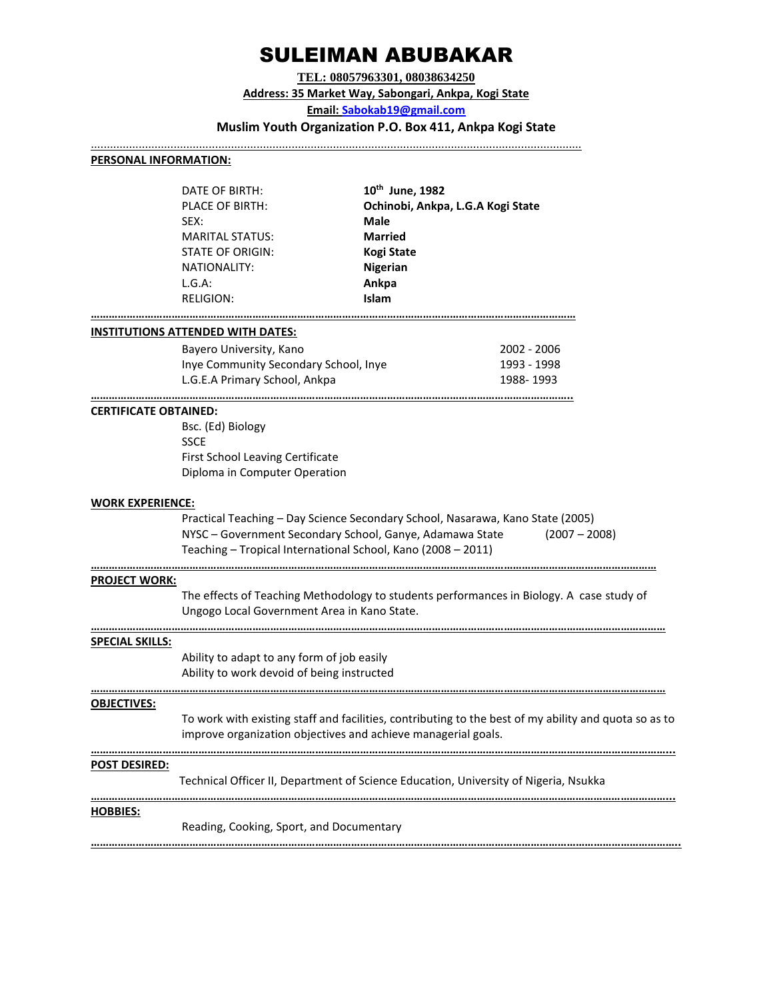# SULEIMAN ABUBAKAR

**TEL: 08057963301, 08038634250 Address: 35 Market Way, Sabongari, Ankpa, Kogi State Email: [Sabokab19@gmail.com](mailto:Sabokab19@gmail.com) Muslim Youth Organization P.O. Box 411, Ankpa Kogi State**

..........................................................................................................................................................

# **PERSONAL INFORMATION:**

| DATE OF BIRTH:         | 10 <sup>th</sup> June, 1982       |
|------------------------|-----------------------------------|
| PLACE OF BIRTH:        | Ochinobi, Ankpa, L.G.A Kogi State |
| SEX:                   | <b>Male</b>                       |
| <b>MARITAL STATUS:</b> | <b>Married</b>                    |
| STATE OF ORIGIN:       | <b>Kogi State</b>                 |
| NATIONALITY:           | <b>Nigerian</b>                   |
| L.G.A:                 | Ankpa                             |
| <b>RELIGION:</b>       | Islam                             |
|                        |                                   |

**………………………………………………………………………………………………………………………………………………**

**……………………………………………………………………………………………………………………………………………..**

# **INSTITUTIONS ATTENDED WITH DATES:**

| Bayero University, Kano               | 2002 - 2006 |
|---------------------------------------|-------------|
| Inye Community Secondary School, Inye | 1993 - 1998 |
| L.G.E.A Primary School, Ankpa         | 1988-1993   |

## **CERTIFICATE OBTAINED:**

Bsc. (Ed) Biology **SSCE** First School Leaving Certificate Diploma in Computer Operation

## **WORK EXPERIENCE:**

Practical Teaching – Day Science Secondary School, Nasarawa, Kano State (2005) NYSC – Government Secondary School, Ganye, Adamawa State (2007 – 2008) Teaching – Tropical International School, Kano (2008 – 2011)

**………………………………………………………………………………………………………………………………………………………………………**

**…………………………………………………………………………………………………………………………………………………………………………**

# **PROJECT WORK:**

The effects of Teaching Methodology to students performances in Biology. A case study of Ungogo Local Government Area in Kano State.

#### **………………………………………………………………………………………………………………………………………………………………………… SPECIAL SKILLS:**

Ability to adapt to any form of job easily Ability to work devoid of being instructed

# **OBJECTIVES:**

To work with existing staff and facilities, contributing to the best of my ability and quota so as to improve organization objectives and achieve managerial goals.

## **…………………………………………………………………………………………………………………………………………………………………………... POST DESIRED:**

Technical Officer II, Department of Science Education, University of Nigeria, Nsukka

**…………………………………………………………………………………………………………………………………………………………………………...**

# **HOBBIES:**

Reading, Cooking, Sport, and Documentary

**……………………………………………………………………………………………………………………………………………………………………………..**